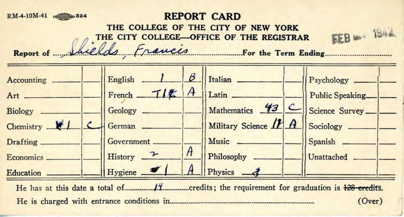## **RM-4-10M-41**  $\bullet$  **324 REPORT CARD**

**THE COLLEGE OF THE CITY OF NEW YORK THE CITY COLLEGE-OFFICE OF THE REGISTRAR FEB** 1942

Report of *Juelds Francis* For the Term Ending



He has at this date a total of **128** credits; the requirement for graduation is 128 credits. He is charged with entrance conditions in <u>manual content of the set</u> of the conditions (Over)